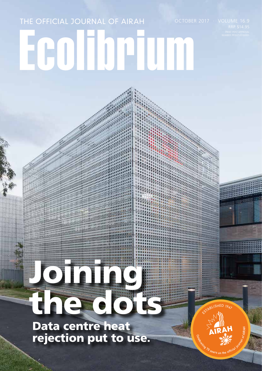## Ecolibrium THE OFFICIAL JOURNAL OF AIRAH

# Joining the dots

Data centre heat rejection put to use.

**CAIRAH** 

**ISHED 1947**